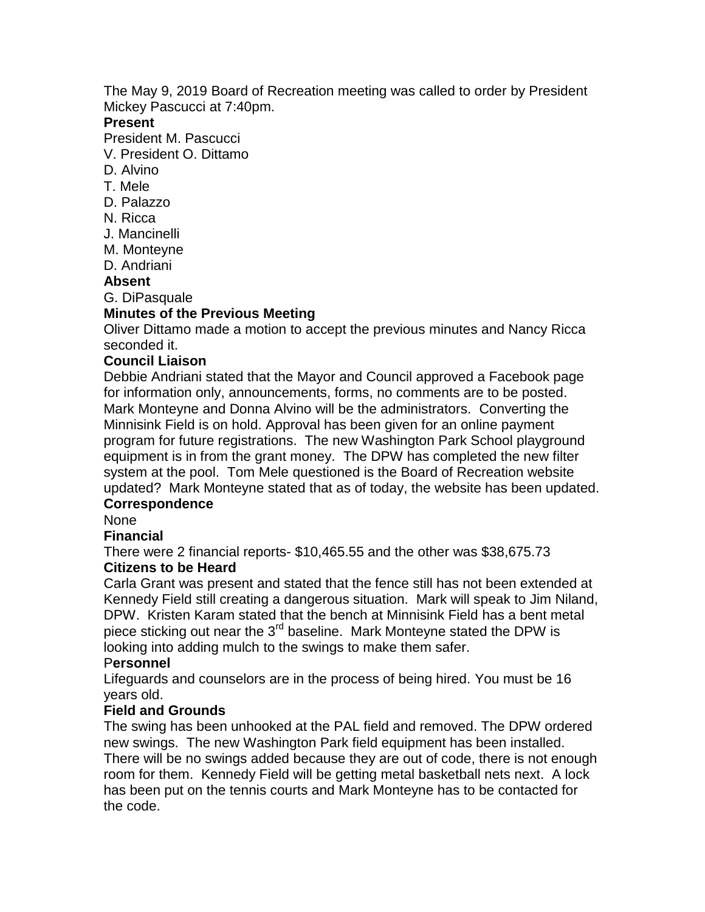The May 9, 2019 Board of Recreation meeting was called to order by President Mickey Pascucci at 7:40pm.

#### **Present**

President M. Pascucci

V. President O. Dittamo

- D. Alvino
- T. Mele
- D. Palazzo
- N. Ricca
- J. Mancinelli
- M. Monteyne
- D. Andriani

# **Absent**

G. DiPasquale

## **Minutes of the Previous Meeting**

Oliver Dittamo made a motion to accept the previous minutes and Nancy Ricca seconded it.

## **Council Liaison**

Debbie Andriani stated that the Mayor and Council approved a Facebook page for information only, announcements, forms, no comments are to be posted. Mark Monteyne and Donna Alvino will be the administrators. Converting the Minnisink Field is on hold. Approval has been given for an online payment program for future registrations. The new Washington Park School playground equipment is in from the grant money. The DPW has completed the new filter system at the pool. Tom Mele questioned is the Board of Recreation website updated? Mark Monteyne stated that as of today, the website has been updated. **Correspondence**

#### None

### **Financial**

There were 2 financial reports- \$10,465.55 and the other was \$38,675.73

# **Citizens to be Heard**

Carla Grant was present and stated that the fence still has not been extended at Kennedy Field still creating a dangerous situation. Mark will speak to Jim Niland, DPW. Kristen Karam stated that the bench at Minnisink Field has a bent metal piece sticking out near the  $3<sup>rd</sup>$  baseline. Mark Monteyne stated the DPW is looking into adding mulch to the swings to make them safer.

### P**ersonnel**

Lifeguards and counselors are in the process of being hired. You must be 16 years old.

### **Field and Grounds**

The swing has been unhooked at the PAL field and removed. The DPW ordered new swings. The new Washington Park field equipment has been installed. There will be no swings added because they are out of code, there is not enough room for them. Kennedy Field will be getting metal basketball nets next. A lock has been put on the tennis courts and Mark Monteyne has to be contacted for the code.